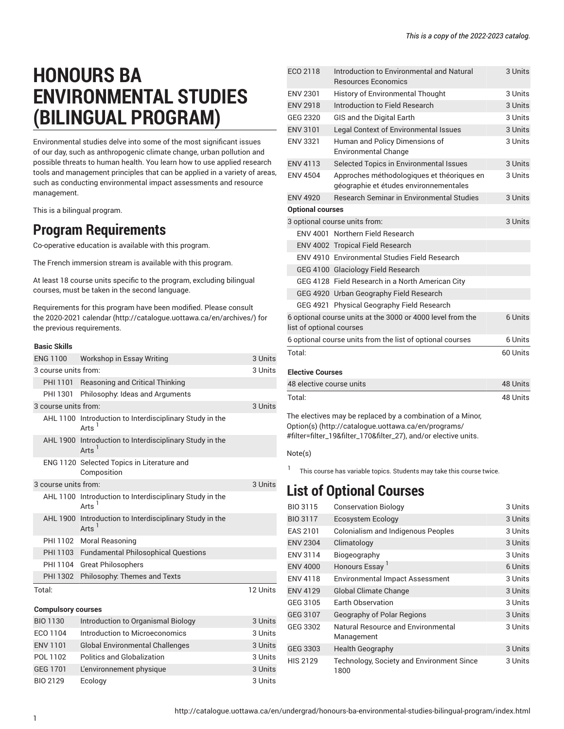# **HONOURS BA ENVIRONMENTAL STUDIES (BILINGUAL PROGRAM)**

Environmental studies delve into some of the most significant issues of our day, such as anthropogenic climate change, urban pollution and possible threats to human health. You learn how to use applied research tools and management principles that can be applied in a variety of areas, such as conducting environmental impact assessments and resource management.

This is a bilingual program.

# **Program Requirements**

Co-operative education is available with this program.

The French immersion stream is available with this program.

At least 18 course units specific to the program, excluding bilingual courses, must be taken in the second language.

Requirements for this program have been modified. Please consult the [2020-2021 calendar \(http://catalogue.uottawa.ca/en/archives/\)](http://catalogue.uottawa.ca/en/archives/) for the previous requirements.

#### **Basic Skills**

| <b>ENG 1100</b>      | Workshop in Essay Writing                                                                   | 3 Units  |
|----------------------|---------------------------------------------------------------------------------------------|----------|
| 3 course units from: |                                                                                             | 3 Units  |
|                      | PHI 1101 Reasoning and Critical Thinking                                                    |          |
| PHI 1301             | Philosophy: Ideas and Arguments                                                             |          |
| 3 course units from: |                                                                                             | 3 Units  |
|                      | AHL 1100 Introduction to Interdisciplinary Study in the<br>$Arts$ <sup><math>1</math></sup> |          |
|                      | AHL 1900 Introduction to Interdisciplinary Study in the<br>$Arts$ <sup>1</sup>              |          |
|                      | ENG 1120 Selected Topics in Literature and<br>Composition                                   |          |
| 3 course units from: |                                                                                             | 3 Units  |
|                      | AHL 1100 Introduction to Interdisciplinary Study in the<br>Arts <sup>1</sup>                |          |
|                      | AHL 1900 Introduction to Interdisciplinary Study in the<br>Arts <sup>'</sup>                |          |
| PHI 1102             | Moral Reasoning                                                                             |          |
|                      | PHI 1103 Fundamental Philosophical Questions                                                |          |
| PHI 1104             | <b>Great Philosophers</b>                                                                   |          |
| PHI 1302             | Philosophy: Themes and Texts                                                                |          |
| Total:               |                                                                                             | 12 Units |

## **Compulsory courses** BIO 1130 Introduction to Organismal Biology 3 Units ECO 1104 Introduction to Microeconomics 3 Units ENV 1101 Global Environmental Challenges 3 Units POL 1102 Politics and Globalization 3 Units GEG 1701 L'environnement physique 3 Units BIO 2129 Ecology 3 Units

| ECO 2118                                                   | Introduction to Environmental and Natural<br><b>Resources Economics</b>              | 3 Units  |
|------------------------------------------------------------|--------------------------------------------------------------------------------------|----------|
| <b>ENV 2301</b>                                            | <b>History of Environmental Thought</b>                                              | 3 Units  |
| <b>ENV 2918</b>                                            | Introduction to Field Research                                                       |          |
|                                                            |                                                                                      | 3 Units  |
| GEG 2320                                                   | GIS and the Digital Earth                                                            | 3 Units  |
| <b>ENV 3101</b>                                            | Legal Context of Environmental Issues                                                | 3 Units  |
| <b>ENV 3321</b>                                            | Human and Policy Dimensions of<br><b>Environmental Change</b>                        | 3 Units  |
| <b>ENV 4113</b>                                            | Selected Topics in Environmental Issues                                              | 3 Units  |
| <b>ENV 4504</b>                                            | Approches méthodologiques et théoriques en<br>géographie et études environnementales | 3 Units  |
| <b>ENV 4920</b>                                            | <b>Research Seminar in Environmental Studies</b>                                     | 3 Units  |
| <b>Optional courses</b>                                    |                                                                                      |          |
|                                                            | 3 optional course units from:                                                        | 3 Units  |
|                                                            | ENV 4001 Northern Field Research                                                     |          |
|                                                            | ENV 4002 Tropical Field Research                                                     |          |
|                                                            | ENV 4910 Environmental Studies Field Research                                        |          |
|                                                            | GEG 4100 Glaciology Field Research                                                   |          |
|                                                            | GEG 4128 Field Research in a North American City                                     |          |
|                                                            | GEG 4920 Urban Geography Field Research                                              |          |
|                                                            | GEG 4921 Physical Geography Field Research                                           |          |
| 6 optional course units at the 3000 or 4000 level from the |                                                                                      | 6 Units  |
| list of optional courses                                   |                                                                                      |          |
|                                                            | 6 optional course units from the list of optional courses                            | 6 Units  |
| Total:                                                     |                                                                                      | 60 Units |
| <b>Elective Courses</b>                                    |                                                                                      |          |
| 48 elective course units                                   |                                                                                      | 48 Units |
| Total:                                                     |                                                                                      | 48 Units |

The electives may be replaced by a combination of a Minor, [Option\(s\) \(http://catalogue.uottawa.ca/en/programs/](http://catalogue.uottawa.ca/en/programs/#filter=filter_19&filter_170&filter_27) [#filter=filter\\_19&filter\\_170&filter\\_27\)](http://catalogue.uottawa.ca/en/programs/#filter=filter_19&filter_170&filter_27), and/or elective units.

#### Note(s)

1 This course has variable topics. Students may take this course twice.

# **List of Optional Courses**

| BIO 3115        | <b>Conservation Biology</b>                       | 3 Units |
|-----------------|---------------------------------------------------|---------|
| <b>BIO 3117</b> | Ecosystem Ecology                                 | 3 Units |
| <b>EAS 2101</b> | <b>Colonialism and Indigenous Peoples</b>         | 3 Units |
| <b>ENV 2304</b> | Climatology                                       | 3 Units |
| ENV 3114        | Biogeography                                      | 3 Units |
| <b>ENV 4000</b> | Honours Essay <sup>1</sup>                        | 6 Units |
| <b>ENV 4118</b> | <b>Environmental Impact Assessment</b>            | 3 Units |
| <b>ENV 4129</b> | <b>Global Climate Change</b>                      | 3 Units |
| GEG 3105        | <b>Earth Observation</b>                          | 3 Units |
| GEG 3107        | Geography of Polar Regions                        | 3 Units |
| GEG 3302        | Natural Resource and Environmental<br>Management  | 3 Units |
| GEG 3303        | <b>Health Geography</b>                           | 3 Units |
| <b>HIS 2129</b> | Technology, Society and Environment Since<br>1800 | 3 Units |